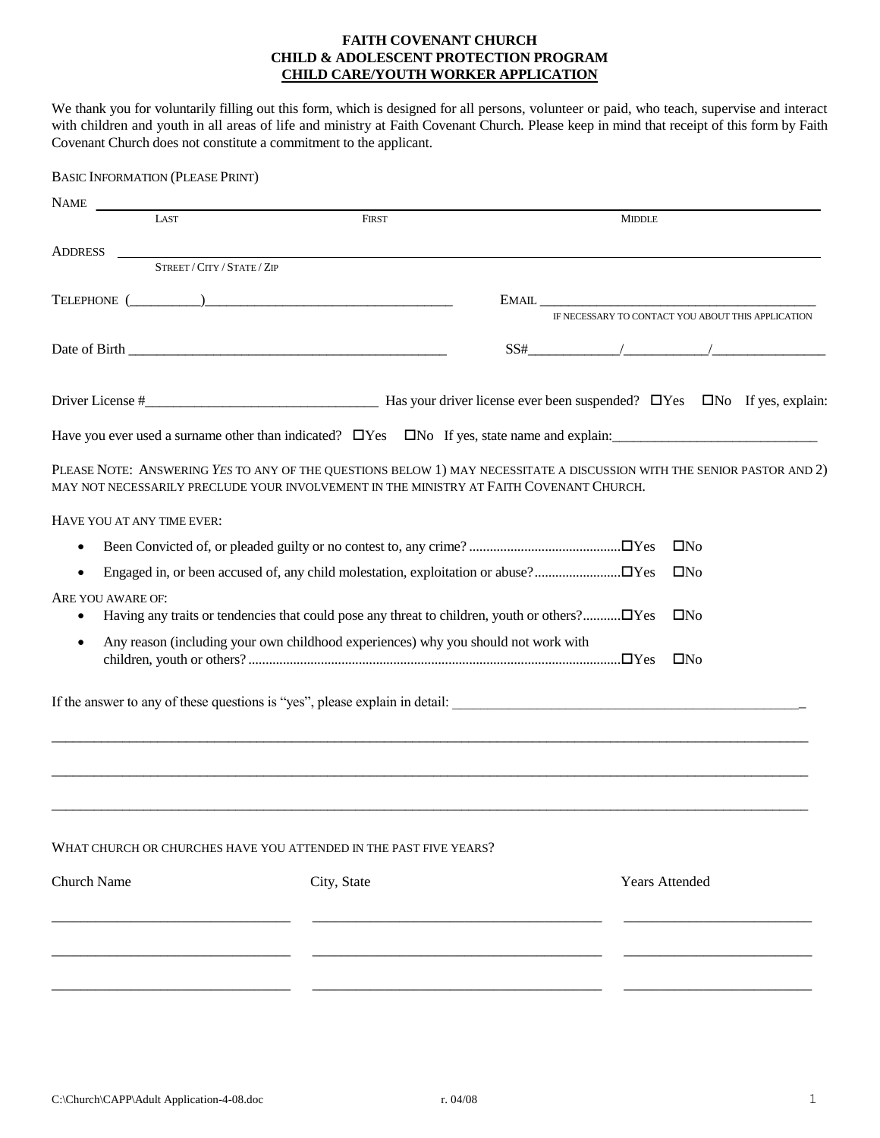## **FAITH COVENANT CHURCH CHILD & ADOLESCENT PROTECTION PROGRAM CHILD CARE/YOUTH WORKER APPLICATION**

We thank you for voluntarily filling out this form, which is designed for all persons, volunteer or paid, who teach, supervise and interact with children and youth in all areas of life and ministry at Faith Covenant Church. Please keep in mind that receipt of this form by Faith Covenant Church does not constitute a commitment to the applicant.

| <b>BASIC INFORMATION (PLEASE PRINT)</b> |                                                                                                                                                                                                                   |  |                                                                                   |                       |  |  |
|-----------------------------------------|-------------------------------------------------------------------------------------------------------------------------------------------------------------------------------------------------------------------|--|-----------------------------------------------------------------------------------|-----------------------|--|--|
| NAME                                    |                                                                                                                                                                                                                   |  |                                                                                   |                       |  |  |
| LAST                                    | <b>FIRST</b>                                                                                                                                                                                                      |  | <b>MIDDLE</b>                                                                     |                       |  |  |
|                                         |                                                                                                                                                                                                                   |  |                                                                                   |                       |  |  |
| STREET / CITY / STATE / ZIP             |                                                                                                                                                                                                                   |  |                                                                                   |                       |  |  |
|                                         | TELEPHONE $(\_\_)$                                                                                                                                                                                                |  | $E\text{MAIL}$                                                                    |                       |  |  |
|                                         |                                                                                                                                                                                                                   |  | IF NECESSARY TO CONTACT YOU ABOUT THIS APPLICATION                                |                       |  |  |
|                                         |                                                                                                                                                                                                                   |  | $SS# \begin{tabular}{ c c c c c } \hline & & & & & & & & \\ \hline \end{tabular}$ |                       |  |  |
|                                         |                                                                                                                                                                                                                   |  |                                                                                   |                       |  |  |
|                                         | Have you ever used a surname other than indicated? $\Box$ Yes $\Box$ No If yes, state name and explain:                                                                                                           |  |                                                                                   |                       |  |  |
|                                         | PLEASE NOTE: ANSWERING YES TO ANY OF THE QUESTIONS BELOW 1) MAY NECESSITATE A DISCUSSION WITH THE SENIOR PASTOR AND 2)<br>MAY NOT NECESSARILY PRECLUDE YOUR INVOLVEMENT IN THE MINISTRY AT FAITH COVENANT CHURCH. |  |                                                                                   |                       |  |  |
| HAVE YOU AT ANY TIME EVER:              |                                                                                                                                                                                                                   |  |                                                                                   |                       |  |  |
|                                         |                                                                                                                                                                                                                   |  |                                                                                   | $\square$ No          |  |  |
|                                         |                                                                                                                                                                                                                   |  |                                                                                   | $\square$ No          |  |  |
| ARE YOU AWARE OF:                       |                                                                                                                                                                                                                   |  |                                                                                   | $\square$ No          |  |  |
|                                         | Any reason (including your own childhood experiences) why you should not work with                                                                                                                                |  |                                                                                   | $\square$ No          |  |  |
|                                         |                                                                                                                                                                                                                   |  |                                                                                   |                       |  |  |
|                                         |                                                                                                                                                                                                                   |  |                                                                                   |                       |  |  |
|                                         | WHAT CHURCH OR CHURCHES HAVE YOU ATTENDED IN THE PAST FIVE YEARS?                                                                                                                                                 |  |                                                                                   |                       |  |  |
| <b>Church Name</b>                      | City, State                                                                                                                                                                                                       |  |                                                                                   | <b>Years Attended</b> |  |  |
|                                         |                                                                                                                                                                                                                   |  |                                                                                   |                       |  |  |
|                                         |                                                                                                                                                                                                                   |  |                                                                                   |                       |  |  |